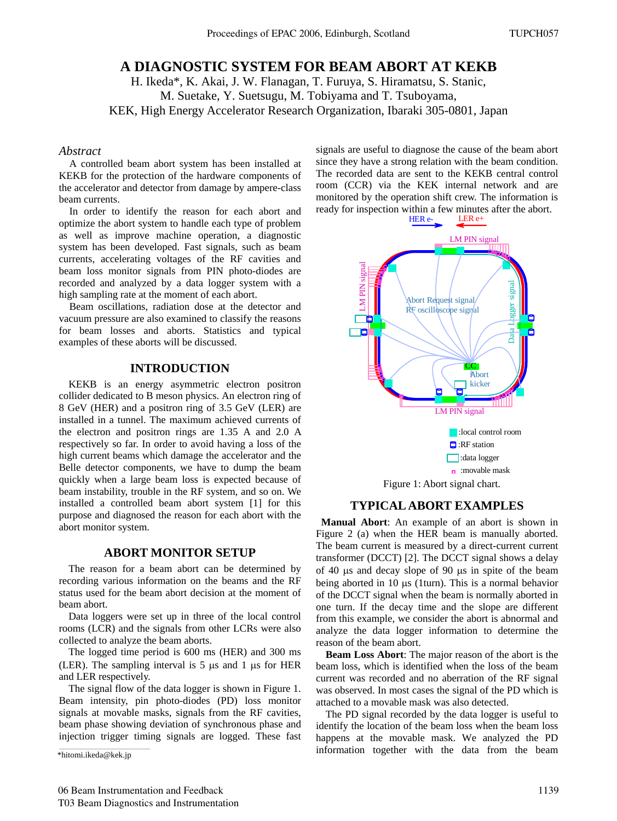# **A DIAGNOSTIC SYSTEM FOR BEAM ABORT AT KEKB**

H. Ikeda\*, K. Akai, J. W. Flanagan, T. Furuya, S. Hiramatsu, S. Stanic, M. Suetake, Y. Suetsugu, M. Tobiyama and T. Tsuboyama, KEK, High Energy Accelerator Research Organization, Ibaraki 305-0801, Japan

#### *Abstract*

A controlled beam abort system has been installed at KEKB for the protection of the hardware components of the accelerator and detector from damage by ampere-class beam currents.

In order to identify the reason for each abort and optimize the abort system to handle each type of problem as well as improve machine operation, a diagnostic system has been developed. Fast signals, such as beam currents, accelerating voltages of the RF cavities and beam loss monitor signals from PIN photo-diodes are recorded and analyzed by a data logger system with a high sampling rate at the moment of each abort.

Beam oscillations, radiation dose at the detector and vacuum pressure are also examined to classify the reasons for beam losses and aborts. Statistics and typical examples of these aborts will be discussed.

### **INTRODUCTION**

KEKB is an energy asymmetric electron positron collider dedicated to B meson physics. An electron ring of 8 GeV (HER) and a positron ring of 3.5 GeV (LER) are installed in a tunnel. The maximum achieved currents of the electron and positron rings are 1.35 A and 2.0 A respectively so far. In order to avoid having a loss of the high current beams which damage the accelerator and the Belle detector components, we have to dump the beam quickly when a large beam loss is expected because of beam instability, trouble in the RF system, and so on. We installed a controlled beam abort system [1] for this purpose and diagnosed the reason for each abort with the abort monitor system.

## **ABORT MONITOR SETUP**

The reason for a beam abort can be determined by recording various information on the beams and the RF status used for the beam abort decision at the moment of beam abort.

Data loggers were set up in three of the local control rooms (LCR) and the signals from other LCRs were also collected to analyze the beam aborts.

The logged time period is 600 ms (HER) and 300 ms (LER). The sampling interval is  $5 \mu s$  and 1  $\mu s$  for HER and LER respectively.

The signal flow of the data logger is shown in Figure 1. Beam intensity, pin photo-diodes (PD) loss monitor signals at movable masks, signals from the RF cavities, beam phase showing deviation of synchronous phase and injection trigger timing signals are logged. These fast signals are useful to diagnose the cause of the beam abort since they have a strong relation with the beam condition. The recorded data are sent to the KEKB central control room (CCR) via the KEK internal network and are monitored by the operation shift crew. The information is ready for inspection within a few minutes after the abort.<br> $HER e$ -LER  $e+$ 



### **TYPICAL ABORT EXAMPLES**

**Manual Abort**: An example of an abort is shown in Figure 2 (a) when the HER beam is manually aborted. The beam current is measured by a direct-current current transformer (DCCT) [2]. The DCCT signal shows a delay of 40  $\mu$ s and decay slope of 90  $\mu$ s in spite of the beam being aborted in 10  $\mu$ s (1turn). This is a normal behavior of the DCCT signal when the beam is normally aborted in one turn. If the decay time and the slope are different from this example, we consider the abort is abnormal and analyze the data logger information to determine the reason of the beam abort.

**Beam Loss Abort**: The major reason of the abort is the beam loss, which is identified when the loss of the beam current was recorded and no aberration of the RF signal was observed. In most cases the signal of the PD which is attached to a movable mask was also detected.

The PD signal recorded by the data logger is useful to identify the location of the beam loss when the beam loss happens at the movable mask. We analyzed the PD information together with the data from the beam

<sup>\*</sup>hitomi.ikeda@kek.jp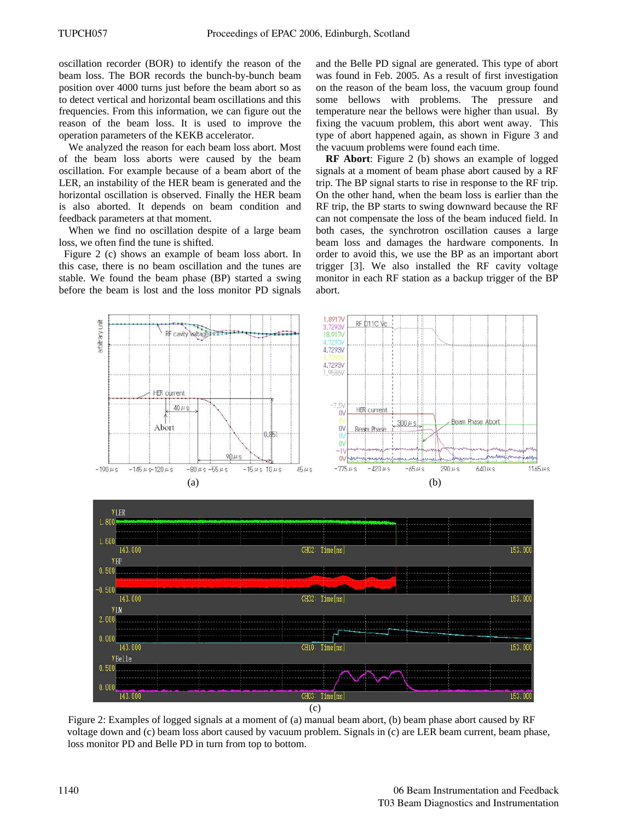oscillation recorder (BOR) to identify the reason of the beam loss. The BOR records the bunch-by-bunch beam position over 4000 turns just before the beam abort so as to detect vertical and horizontal beam oscillations and this frequencies. From this information, we can figure out the reason of the beam loss. It is used to improve the operation parameters of the KEKB accelerator.

We analyzed the reason for each beam loss abort. Most of the beam loss aborts were caused by the beam oscillation. For example because of a beam abort of the LER, an instability of the HER beam is generated and the horizontal oscillation is observed. Finally the HER beam is also aborted. It depends on beam condition and feedback parameters at that moment.

When we find no oscillation despite of a large beam loss, we often find the tune is shifted.

Figure 2 (c) shows an example of beam loss abort. In this case, there is no beam oscillation and the tunes are stable. We found the beam phase (BP) started a swing before the beam is lost and the loss monitor PD signals and the Belle PD signal are generated. This type of abort was found in Feb. 2005. As a result of first investigation on the reason of the beam loss, the vacuum group found some bellows with problems. The pressure and temperature near the bellows were higher than usual. By fixing the vacuum problem, this abort went away. This type of abort happened again, as shown in Figure 3 and the vacuum problems were found each time.

**RF Abort**: Figure 2 (b) shows an example of logged signals at a moment of beam phase abort caused by a RF trip. The BP signal starts to rise in response to the RF trip. On the other hand, when the beam loss is earlier than the RF trip, the BP starts to swing downward because the RF can not compensate the loss of the beam induced field. In both cases, the synchrotron oscillation causes a large beam loss and damages the hardware components. In order to avoid this, we use the BP as an important abort trigger [3]. We also installed the RF cavity voltage monitor in each RF station as a backup trigger of the BP abort.





Figure 2: Examples of logged signals at a moment of (a) manual beam abort, (b) beam phase abort caused by RF voltage down and (c) beam loss abort caused by vacuum problem. Signals in (c) are LER beam current, beam phase, loss monitor PD and Belle PD in turn from top to bottom.